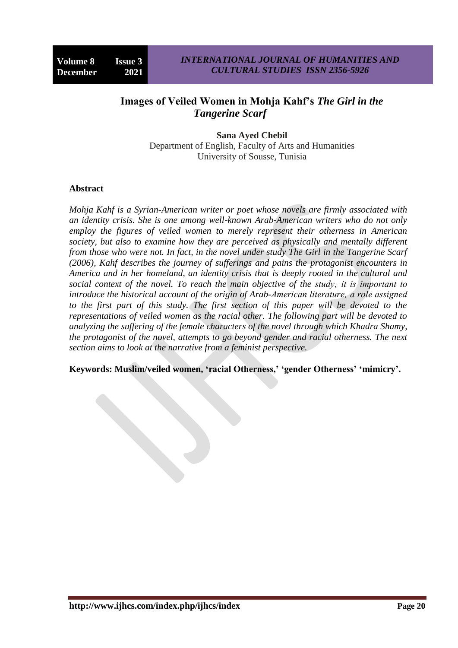# **Images of Veiled Women in Mohja Kahf's** *The Girl in the Tangerine Scarf*

**Sana Ayed Chebil** Department of English, Faculty of Arts and Humanities University of Sousse, Tunisia

### **Abstract**

*Mohja Kahf is a Syrian-American writer or poet whose novels are firmly associated with an identity crisis. She is one among well-known Arab-American writers who do not only employ the figures of veiled women to merely represent their otherness in American society, but also to examine how they are perceived as physically and mentally different from those who were not. In fact, in the novel under study The Girl in the Tangerine Scarf (2006), Kahf describes the journey of sufferings and pains the protagonist encounters in America and in her homeland, an identity crisis that is deeply rooted in the cultural and social context of the novel. To reach the main objective of the study, it is important to introduce the historical account of the origin of Arab-American literature, a role assigned to the first part of this study. The first section of this paper will be devoted to the representations of veiled women as the racial other. The following part will be devoted to analyzing the suffering of the female characters of the novel through which Khadra Shamy, the protagonist of the novel, attempts to go beyond gender and racial otherness. The next section aims to look at the narrative from a feminist perspective.*

**Keywords: Muslim/veiled women, 'racial Otherness,' 'gender Otherness' 'mimicry'.**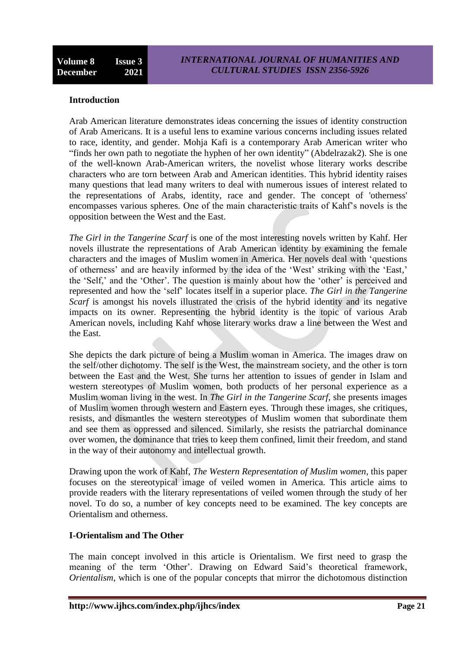### **Introduction**

Arab American literature demonstrates ideas concerning the issues of identity construction of Arab Americans. It is a useful lens to examine various concerns including issues related to race, identity, and gender. Mohja Kafi is a contemporary Arab American writer who "finds her own path to negotiate the hyphen of her own identity" (Abdelrazak2). She is one of the well-known Arab-American writers, the novelist whose literary works describe characters who are torn between Arab and American identities. This hybrid identity raises many questions that lead many writers to deal with numerous issues of interest related to the representations of Arabs, identity, race and gender. The concept of 'otherness' encompasses various spheres. One of the main characteristic traits of Kahf"s novels is the opposition between the West and the East.

*The Girl in the Tangerine Scarf* is one of the most interesting novels written by Kahf. Her novels illustrate the representations of Arab American identity by examining the female characters and the images of Muslim women in America. Her novels deal with "questions of otherness" and are heavily informed by the idea of the "West" striking with the "East," the 'Self,' and the 'Other'. The question is mainly about how the 'other' is perceived and represented and how the "self" locates itself in a superior place. *The Girl in the Tangerine Scarf* is amongst his novels illustrated the crisis of the hybrid identity and its negative impacts on its owner. Representing the hybrid identity is the topic of various Arab American novels, including Kahf whose literary works draw a line between the West and the East.

She depicts the dark picture of being a Muslim woman in America. The images draw on the self/other dichotomy. The self is the West, the mainstream society, and the other is torn between the East and the West. She turns her attention to issues of gender in Islam and western stereotypes of Muslim women, both products of her personal experience as a Muslim woman living in the west. In *The Girl in the Tangerine Scarf*, she presents images of Muslim women through western and Eastern eyes. Through these images, she critiques, resists, and dismantles the western stereotypes of Muslim women that subordinate them and see them as oppressed and silenced. Similarly, she resists the patriarchal dominance over women, the dominance that tries to keep them confined, limit their freedom, and stand in the way of their autonomy and intellectual growth.

Drawing upon the work of Kahf, *The Western Representation of Muslim women*, this paper focuses on the stereotypical image of veiled women in America. This article aims to provide readers with the literary representations of veiled women through the study of her novel. To do so, a number of key concepts need to be examined. The key concepts are Orientalism and otherness.

### **I-Orientalism and The Other**

The main concept involved in this article is Orientalism. We first need to grasp the meaning of the term 'Other'. Drawing on Edward Said's theoretical framework, *Orientalism*, which is one of the popular concepts that mirror the dichotomous distinction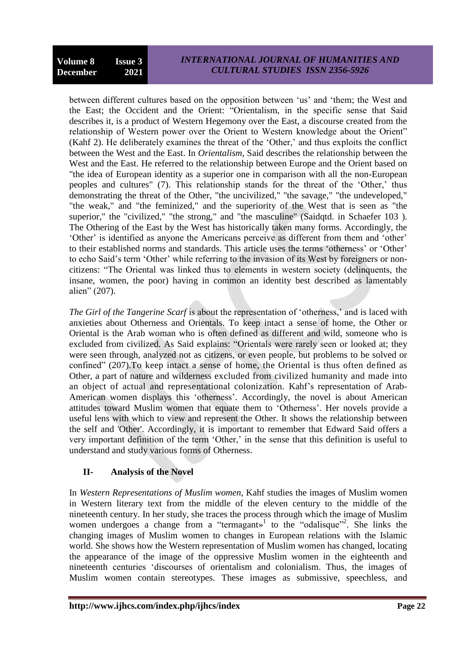between different cultures based on the opposition between "us" and "them; the West and the East; the Occident and the Orient: "Orientalism, in the specific sense that Said describes it, is a product of Western Hegemony over the East, a discourse created from the relationship of Western power over the Orient to Western knowledge about the Orient" (Kahf 2). He deliberately examines the threat of the "Other," and thus exploits the conflict between the West and the East. In *Orientalism*, Said describes the relationship between the West and the East. He referred to the relationship between Europe and the Orient based on "the idea of European identity as a superior one in comparison with all the non-European peoples and cultures" (7). This relationship stands for the threat of the 'Other,' thus demonstrating the threat of the Other, "the uncivilized," "the savage," "the undeveloped," "the weak," and "the feminized," and the superiority of the West that is seen as "the superior," the "civilized," "the strong," and "the masculine" (Saidqtd. in Schaefer 103). The Othering of the East by the West has historically taken many forms. Accordingly, the "Other" is identified as anyone the Americans perceive as different from them and "other" to their established norms and standards. This article uses the terms "otherness" or "Other" to echo Said"s term "Other" while referring to the invasion of its West by foreigners or noncitizens: "The Oriental was linked thus to elements in western society (delinquents, the insane, women, the poor) having in common an identity best described as lamentably alien" (207).

*The Girl of the Tangerine Scarf* is about the representation of 'otherness,' and is laced with anxieties about Otherness and Orientals. To keep intact a sense of home, the Other or Oriental is the Arab woman who is often defined as different and wild, someone who is excluded from civilized. As Said explains: "Orientals were rarely seen or looked at; they were seen through, analyzed not as citizens, or even people, but problems to be solved or confined" (207).To keep intact a sense of home, the Oriental is thus often defined as Other, a part of nature and wilderness excluded from civilized humanity and made into an object of actual and representational colonization. Kahf"s representation of Arab-American women displays this 'otherness'. Accordingly, the novel is about American attitudes toward Muslim women that equate them to "Otherness". Her novels provide a useful lens with which to view and represent the Other. It shows the relationship between the self and 'Other'. Accordingly, it is important to remember that Edward Said offers a very important definition of the term 'Other,' in the sense that this definition is useful to understand and study various forms of Otherness.

## **II- Analysis of the Novel**

In *Western Representations of Muslim women*, Kahf studies the images of Muslim women in Western literary text from the middle of the eleven century to the middle of the nineteenth century. In her study, she traces the process through which the image of Muslim women undergoes a change from a "termagant»<sup>1</sup> to the "odalisque"<sup>2</sup>. She links the changing images of Muslim women to changes in European relations with the Islamic world. She shows how the Western representation of Muslim women has changed, locating the appearance of the image of the oppressive Muslim women in the eighteenth and nineteenth centuries "discourses of orientalism and colonialism. Thus, the images of Muslim women contain stereotypes. These images as submissive, speechless, and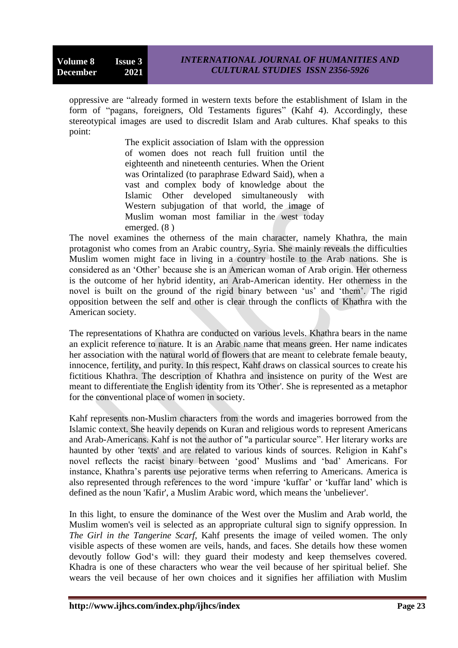oppressive are "already formed in western texts before the establishment of Islam in the form of "pagans, foreigners, Old Testaments figures" (Kahf 4). Accordingly, these stereotypical images are used to discredit Islam and Arab cultures. Khaf speaks to this point:

> The explicit association of Islam with the oppression of women does not reach full fruition until the eighteenth and nineteenth centuries. When the Orient was Orintalized (to paraphrase Edward Said), when a vast and complex body of knowledge about the Islamic Other developed simultaneously with Western subjugation of that world, the image of Muslim woman most familiar in the west today emerged. (8 )

The novel examines the otherness of the main character, namely Khathra, the main protagonist who comes from an Arabic country, Syria. She mainly reveals the difficulties Muslim women might face in living in a country hostile to the Arab nations. She is considered as an "Other" because she is an American woman of Arab origin. Her otherness is the outcome of her hybrid identity, an Arab-American identity. Her otherness in the novel is built on the ground of the rigid binary between 'us' and 'them'. The rigid opposition between the self and other is clear through the conflicts of Khathra with the American society.

The representations of Khathra are conducted on various levels. Khathra bears in the name an explicit reference to nature. It is an Arabic name that means green. Her name indicates her association with the natural world of flowers that are meant to celebrate female beauty, innocence, fertility, and purity. In this respect, Kahf draws on classical sources to create his fictitious Khathra. The description of Khathra and insistence on purity of the West are meant to differentiate the English identity from its 'Other'. She is represented as a metaphor for the conventional place of women in society.

Kahf represents non-Muslim characters from the words and imageries borrowed from the Islamic context. She heavily depends on Kuran and religious words to represent Americans and Arab-Americans. Kahf is not the author of "a particular source". Her literary works are haunted by other 'texts' and are related to various kinds of sources. Religion in Kahf's novel reflects the racist binary between "good" Muslims and "bad" Americans. For instance, Khathra"s parents use pejorative terms when referring to Americans. America is also represented through references to the word "impure "kuffar" or "kuffar land" which is defined as the noun 'Kafir', a Muslim Arabic word, which means the 'unbeliever'.

In this light, to ensure the dominance of the West over the Muslim and Arab world, the Muslim women's veil is selected as an appropriate cultural sign to signify oppression. In *The Girl in the Tangerine Scarf*, Kahf presents the image of veiled women. The only visible aspects of these women are veils, hands, and faces. She details how these women devoutly follow God's will: they guard their modesty and keep themselves covered. Khadra is one of these characters who wear the veil because of her spiritual belief. She wears the veil because of her own choices and it signifies her affiliation with Muslim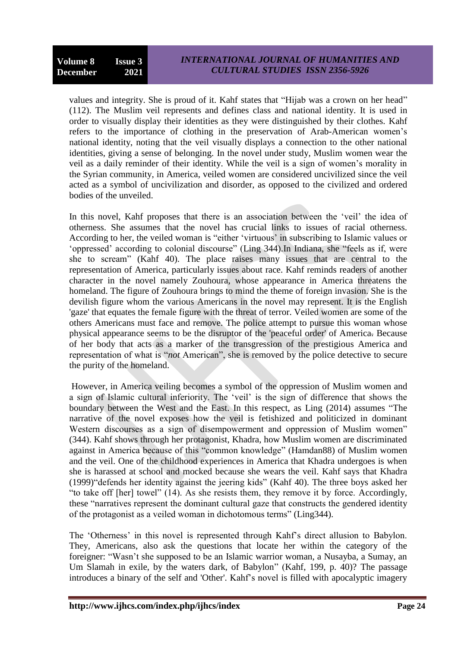values and integrity. She is proud of it. Kahf states that "Hijab was a crown on her head" (112). The Muslim veil represents and defines class and national identity. It is used in order to visually display their identities as they were distinguished by their clothes. Kahf refers to the importance of clothing in the preservation of Arab-American women"s national identity, noting that the veil visually displays a connection to the other national identities, giving a sense of belonging. In the novel under study, Muslim women wear the veil as a daily reminder of their identity. While the veil is a sign of women"s morality in the Syrian community, in America, veiled women are considered uncivilized since the veil acted as a symbol of uncivilization and disorder, as opposed to the civilized and ordered bodies of the unveiled.

In this novel, Kahf proposes that there is an association between the 'veil' the idea of otherness. She assumes that the novel has crucial links to issues of racial otherness. According to her, the veiled woman is "either "virtuous" in subscribing to Islamic values or "oppressed" according to colonial discourse" (Ling 344).In Indiana, she "feels as if, were she to scream" (Kahf 40). The place raises many issues that are central to the representation of America, particularly issues about race. Kahf reminds readers of another character in the novel namely Zouhoura, whose appearance in America threatens the homeland. The figure of Zouhoura brings to mind the theme of foreign invasion. She is the devilish figure whom the various Americans in the novel may represent. It is the English 'gaze' that equates the female figure with the threat of terror. Veiled women are some of the others Americans must face and remove. The police attempt to pursue this woman whose physical appearance seems to be the disruptor of the 'peaceful order' of America. Because of her body that acts as a marker of the transgression of the prestigious America and representation of what is "*not* American", she is removed by the police detective to secure the purity of the homeland.

However, in America veiling becomes a symbol of the oppression of Muslim women and a sign of Islamic cultural inferiority. The "veil" is the sign of difference that shows the boundary between the West and the East. In this respect, as Ling (2014) assumes "The narrative of the novel exposes how the veil is fetishized and politicized in dominant Western discourses as a sign of disempowerment and oppression of Muslim women" (344). Kahf shows through her protagonist, Khadra, how Muslim women are discriminated against in America because of this "common knowledge" (Hamdan88) of Muslim women and the veil. One of the childhood experiences in America that Khadra undergoes is when she is harassed at school and mocked because she wears the veil. Kahf says that Khadra (1999)"defends her identity against the jeering kids" (Kahf 40). The three boys asked her "to take off [her] towel" (14). As she resists them, they remove it by force. Accordingly, these "narratives represent the dominant cultural gaze that constructs the gendered identity of the protagonist as a veiled woman in dichotomous terms" (Ling344).

The "Otherness" in this novel is represented through Kahf"s direct allusion to Babylon. They, Americans, also ask the questions that locate her within the category of the foreigner: "Wasn"t she supposed to be an Islamic warrior woman, a Nusayba, a Sumay, an Um Slamah in exile, by the waters dark, of Babylon" (Kahf, 199, p. 40)? The passage introduces a binary of the self and 'Other'. Kahf"s novel is filled with apocalyptic imagery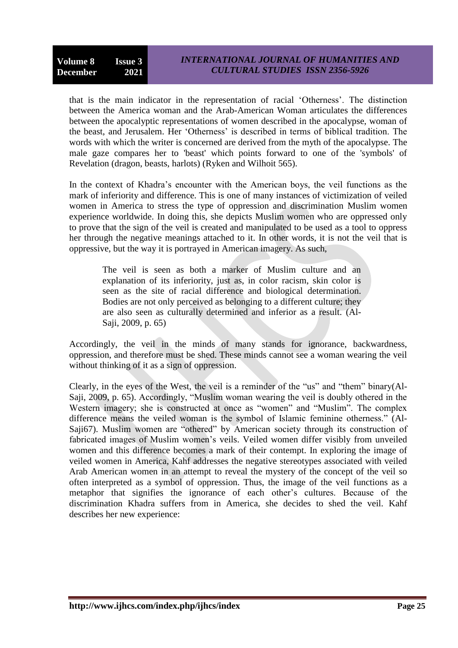that is the main indicator in the representation of racial "Otherness". The distinction between the America woman and the Arab-American Woman articulates the differences between the apocalyptic representations of women described in the apocalypse, woman of the beast, and Jerusalem. Her "Otherness" is described in terms of biblical tradition. The words with which the writer is concerned are derived from the myth of the apocalypse. The male gaze compares her to 'beast' which points forward to one of the 'symbols' of Revelation (dragon, beasts, harlots) (Ryken and Wilhoit 565).

In the context of Khadra"s encounter with the American boys, the veil functions as the mark of inferiority and difference. This is one of many instances of victimization of veiled women in America to stress the type of oppression and discrimination Muslim women experience worldwide. In doing this, she depicts Muslim women who are oppressed only to prove that the sign of the veil is created and manipulated to be used as a tool to oppress her through the negative meanings attached to it. In other words, it is not the veil that is oppressive, but the way it is portrayed in American imagery. As such,

The veil is seen as both a marker of Muslim culture and an explanation of its inferiority, just as, in color racism, skin color is seen as the site of racial difference and biological determination. Bodies are not only perceived as belonging to a different culture; they are also seen as culturally determined and inferior as a result. (Al-Saji, 2009, p. 65)

Accordingly, the veil in the minds of many stands for ignorance, backwardness, oppression, and therefore must be shed. These minds cannot see a woman wearing the veil without thinking of it as a sign of oppression.

Clearly, in the eyes of the West, the veil is a reminder of the "us" and "them" binary(Al-Saji, 2009, p. 65). Accordingly, "Muslim woman wearing the veil is doubly othered in the Western imagery; she is constructed at once as "women" and "Muslim". The complex difference means the veiled woman is the symbol of Islamic feminine otherness." (Al-Saji67). Muslim women are "othered" by American society through its construction of fabricated images of Muslim women"s veils. Veiled women differ visibly from unveiled women and this difference becomes a mark of their contempt. In exploring the image of veiled women in America, Kahf addresses the negative stereotypes associated with veiled Arab American women in an attempt to reveal the mystery of the concept of the veil so often interpreted as a symbol of oppression. Thus, the image of the veil functions as a metaphor that signifies the ignorance of each other"s cultures. Because of the discrimination Khadra suffers from in America, she decides to shed the veil. Kahf describes her new experience: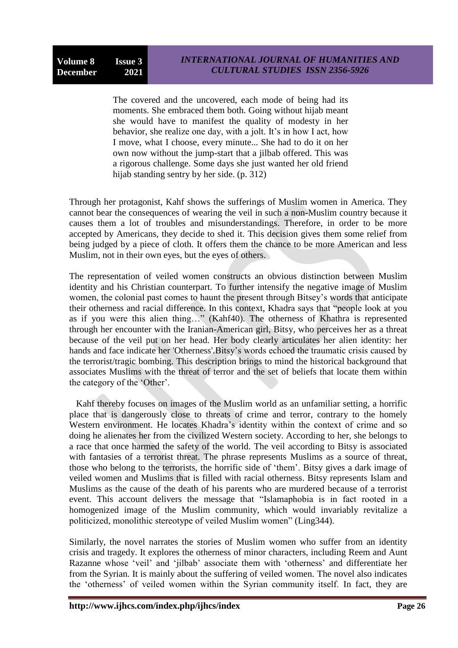The covered and the uncovered, each mode of being had its moments. She embraced them both. Going without hijab meant she would have to manifest the quality of modesty in her behavior, she realize one day, with a jolt. It's in how I act, how I move, what I choose, every minute... She had to do it on her own now without the jump-start that a jilbab offered. This was a rigorous challenge. Some days she just wanted her old friend hijab standing sentry by her side. (p. 312)

Through her protagonist, Kahf shows the sufferings of Muslim women in America. They cannot bear the consequences of wearing the veil in such a non-Muslim country because it causes them a lot of troubles and misunderstandings. Therefore, in order to be more accepted by Americans, they decide to shed it. This decision gives them some relief from being judged by a piece of cloth. It offers them the chance to be more American and less Muslim, not in their own eyes, but the eyes of others.

The representation of veiled women constructs an obvious distinction between Muslim identity and his Christian counterpart. To further intensify the negative image of Muslim women, the colonial past comes to haunt the present through Bitsey"s words that anticipate their otherness and racial difference. In this context, Khadra says that "people look at you as if you were this alien thing…" (Kahf40). The otherness of Khathra is represented through her encounter with the Iranian-American girl, Bitsy, who perceives her as a threat because of the veil put on her head. Her body clearly articulates her alien identity: her hands and face indicate her 'Otherness'.Bitsy"s words echoed the traumatic crisis caused by the terrorist/tragic bombing. This description brings to mind the historical background that associates Muslims with the threat of terror and the set of beliefs that locate them within the category of the "Other".

 Kahf thereby focuses on images of the Muslim world as an unfamiliar setting, a horrific place that is dangerously close to threats of crime and terror, contrary to the homely Western environment. He locates Khadra's identity within the context of crime and so doing he alienates her from the civilized Western society. According to her, she belongs to a race that once harmed the safety of the world. The veil according to Bitsy is associated with fantasies of a terrorist threat. The phrase represents Muslims as a source of threat, those who belong to the terrorists, the horrific side of "them". Bitsy gives a dark image of veiled women and Muslims that is filled with racial otherness. Bitsy represents Islam and Muslims as the cause of the death of his parents who are murdered because of a terrorist event. This account delivers the message that "Islamaphobia is in fact rooted in a homogenized image of the Muslim community, which would invariably revitalize a politicized, monolithic stereotype of veiled Muslim women" (Ling344).

Similarly, the novel narrates the stories of Muslim women who suffer from an identity crisis and tragedy. It explores the otherness of minor characters, including Reem and Aunt Razanne whose 'veil' and 'jilbab' associate them with 'otherness' and differentiate her from the Syrian. It is mainly about the suffering of veiled women. The novel also indicates the "otherness" of veiled women within the Syrian community itself. In fact, they are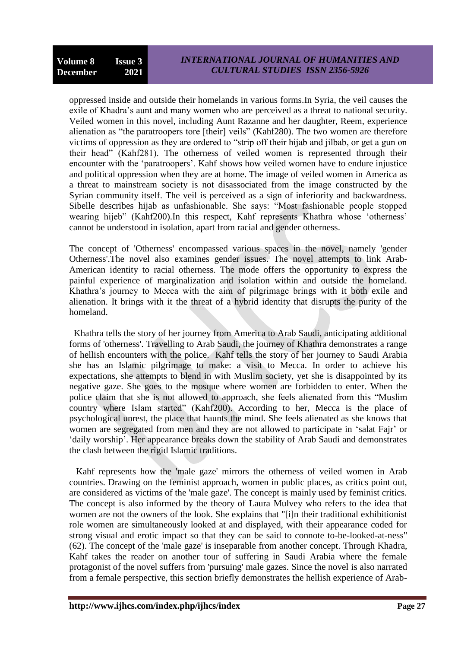oppressed inside and outside their homelands in various forms.In Syria, the veil causes the exile of Khadra"s aunt and many women who are perceived as a threat to national security. Veiled women in this novel, including Aunt Razanne and her daughter, Reem, experience alienation as "the paratroopers tore [their] veils" (Kahf280). The two women are therefore victims of oppression as they are ordered to "strip off their hijab and jilbab, or get a gun on their head" (Kahf281). The otherness of veiled women is represented through their encounter with the "paratroopers". Kahf shows how veiled women have to endure injustice and political oppression when they are at home. The image of veiled women in America as a threat to mainstream society is not disassociated from the image constructed by the Syrian community itself. The veil is perceived as a sign of inferiority and backwardness. Sibelle describes hijab as unfashionable. She says: "Most fashionable people stopped wearing hijeb" (Kahf200).In this respect, Kahf represents Khathra whose 'otherness' cannot be understood in isolation, apart from racial and gender otherness.

The concept of 'Otherness' encompassed various spaces in the novel, namely 'gender Otherness'.The novel also examines gender issues. The novel attempts to link Arab-American identity to racial otherness. The mode offers the opportunity to express the painful experience of marginalization and isolation within and outside the homeland. Khathra"s journey to Mecca with the aim of pilgrimage brings with it both exile and alienation. It brings with it the threat of a hybrid identity that disrupts the purity of the homeland.

Khathra tells the story of her journey from America to Arab Saudi, anticipating additional forms of 'otherness'. Travelling to Arab Saudi, the journey of Khathra demonstrates a range of hellish encounters with the police. Kahf tells the story of her journey to Saudi Arabia she has an Islamic pilgrimage to make: a visit to Mecca. In order to achieve his expectations, she attempts to blend in with Muslim society, yet she is disappointed by its negative gaze. She goes to the mosque where women are forbidden to enter. When the police claim that she is not allowed to approach, she feels alienated from this "Muslim country where Islam started" (Kahf200). According to her, Mecca is the place of psychological unrest, the place that haunts the mind. She feels alienated as she knows that women are segregated from men and they are not allowed to participate in "salat Fajr" or "daily worship". Her appearance breaks down the stability of Arab Saudi and demonstrates the clash between the rigid Islamic traditions.

 Kahf represents how the 'male gaze' mirrors the otherness of veiled women in Arab countries. Drawing on the feminist approach, women in public places, as critics point out, are considered as victims of the 'male gaze'. The concept is mainly used by feminist critics. The concept is also informed by the theory of Laura Mulvey who refers to the idea that women are not the owners of the look. She explains that "[i]n their traditional exhibitionist role women are simultaneously looked at and displayed, with their appearance coded for strong visual and erotic impact so that they can be said to connote to-be-looked-at-ness" (62). The concept of the 'male gaze' is inseparable from another concept. Through Khadra, Kahf takes the reader on another tour of suffering in Saudi Arabia where the female protagonist of the novel suffers from 'pursuing' male gazes. Since the novel is also narrated from a female perspective, this section briefly demonstrates the hellish experience of Arab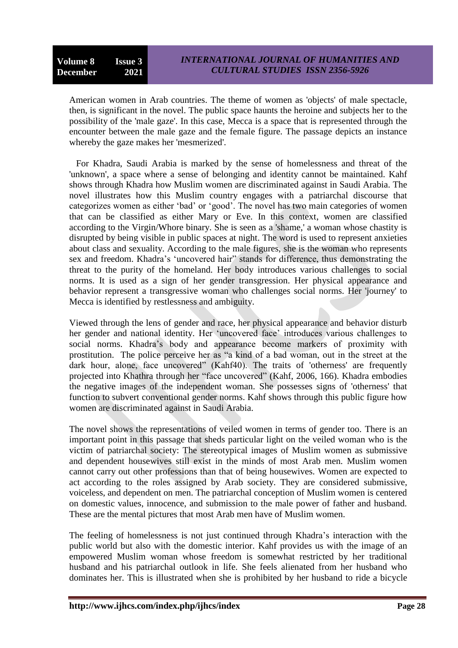American women in Arab countries. The theme of women as 'objects' of male spectacle, then, is significant in the novel. The public space haunts the heroine and subjects her to the possibility of the 'male gaze'. In this case, Mecca is a space that is represented through the encounter between the male gaze and the female figure. The passage depicts an instance whereby the gaze makes her 'mesmerized'.

 For Khadra, Saudi Arabia is marked by the sense of homelessness and threat of the 'unknown', a space where a sense of belonging and identity cannot be maintained. Kahf shows through Khadra how Muslim women are discriminated against in Saudi Arabia. The novel illustrates how this Muslim country engages with a patriarchal discourse that categorizes women as either "bad" or "good". The novel has two main categories of women that can be classified as either Mary or Eve. In this context, women are classified according to the Virgin/Whore binary. She is seen as a 'shame,' a woman whose chastity is disrupted by being visible in public spaces at night. The word is used to represent anxieties about class and sexuality. According to the male figures, she is the woman who represents sex and freedom. Khadra"s "uncovered hair" stands for difference, thus demonstrating the threat to the purity of the homeland. Her body introduces various challenges to social norms. It is used as a sign of her gender transgression. Her physical appearance and behavior represent a transgressive woman who challenges social norms. Her 'journey' to Mecca is identified by restlessness and ambiguity.

Viewed through the lens of gender and race, her physical appearance and behavior disturb her gender and national identity. Her "uncovered face" introduces various challenges to social norms. Khadra"s body and appearance become markers of proximity with prostitution. The police perceive her as "a kind of a bad woman, out in the street at the dark hour, alone, face uncovered" (Kahf40). The traits of 'otherness' are frequently projected into Khathra through her "face uncovered" (Kahf, 2006, 166). Khadra embodies the negative images of the independent woman. She possesses signs of 'otherness' that function to subvert conventional gender norms. Kahf shows through this public figure how women are discriminated against in Saudi Arabia.

The novel shows the representations of veiled women in terms of gender too. There is an important point in this passage that sheds particular light on the veiled woman who is the victim of patriarchal society: The stereotypical images of Muslim women as submissive and dependent housewives still exist in the minds of most Arab men. Muslim women cannot carry out other professions than that of being housewives. Women are expected to act according to the roles assigned by Arab society. They are considered submissive, voiceless, and dependent on men. The patriarchal conception of Muslim women is centered on domestic values, innocence, and submission to the male power of father and husband. These are the mental pictures that most Arab men have of Muslim women.

The feeling of homelessness is not just continued through Khadra"s interaction with the public world but also with the domestic interior. Kahf provides us with the image of an empowered Muslim woman whose freedom is somewhat restricted by her traditional husband and his patriarchal outlook in life. She feels alienated from her husband who dominates her. This is illustrated when she is prohibited by her husband to ride a bicycle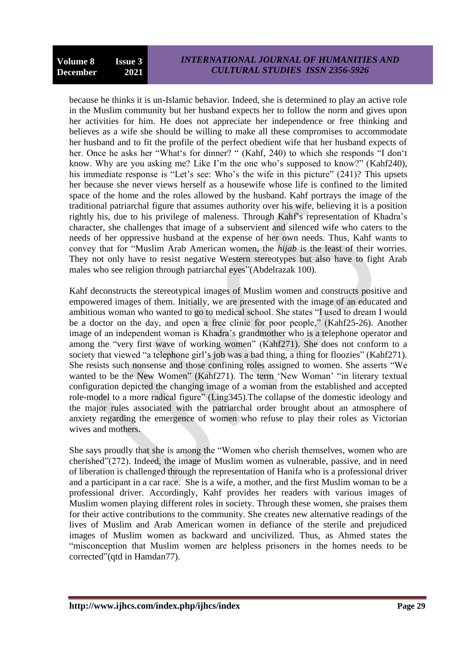because he thinks it is un-Islamic behavior. Indeed, she is determined to play an active role in the Muslim community but her husband expects her to follow the norm and gives upon her activities for him. He does not appreciate her independence or free thinking and believes as a wife she should be willing to make all these compromises to accommodate her husband and to fit the profile of the perfect obedient wife that her husband expects of her. Once he asks her "What"s for dinner? " (Kahf, 240) to which she responds "I don"t know. Why are you asking me? Like I'm the one who's supposed to know?" (Kahf240), his immediate response is "Let's see: Who's the wife in this picture" (241)? This upsets her because she never views herself as a housewife whose life is confined to the limited space of the home and the roles allowed by the husband. Kahf portrays the image of the traditional patriarchal figure that assumes authority over his wife, believing it is a position rightly his, due to his privilege of maleness. Through Kahf"s representation of Khadra"s character, she challenges that image of a subservient and silenced wife who caters to the needs of her oppressive husband at the expense of her own needs. Thus, Kahf wants to convey that for "Muslim Arab American women, the *hijab* is the least of their worries. They not only have to resist negative Western stereotypes but also have to fight Arab males who see religion through patriarchal eyes"(Abdelrazak 100).

Kahf deconstructs the stereotypical images of Muslim women and constructs positive and empowered images of them. Initially, we are presented with the image of an educated and ambitious woman who wanted to go to medical school. She states "I used to dream I would be a doctor on the day, and open a free clinic for poor people," (Kahf25-26). Another image of an independent woman is Khadra"s grandmother who is a telephone operator and among the "very first wave of working women" (Kahf271). She does not conform to a society that viewed "a telephone girl's job was a bad thing, a thing for floozies" (Kahf271). She resists such nonsense and those confining roles assigned to women. She asserts "We wanted to be the New Women" (Kahf271). The term 'New Woman' "in literary textual configuration depicted the changing image of a woman from the established and accepted role-model to a more radical figure" (Ling345).The collapse of the domestic ideology and the major rules associated with the patriarchal order brought about an atmosphere of anxiety regarding the emergence of women who refuse to play their roles as Victorian wives and mothers.

She says proudly that she is among the "Women who cherish themselves, women who are cherished"(272). Indeed, the image of Muslim women as vulnerable, passive, and in need of liberation is challenged through the representation of Hanifa who is a professional driver and a participant in a car race. She is a wife, a mother, and the first Muslim woman to be a professional driver. Accordingly, Kahf provides her readers with various images of Muslim women playing different roles in society. Through these women, she praises them for their active contributions to the community. She creates new alternative readings of the lives of Muslim and Arab American women in defiance of the sterile and prejudiced images of Muslim women as backward and uncivilized. Thus, as Ahmed states the "misconception that Muslim women are helpless prisoners in the homes needs to be corrected"(qtd in Hamdan77).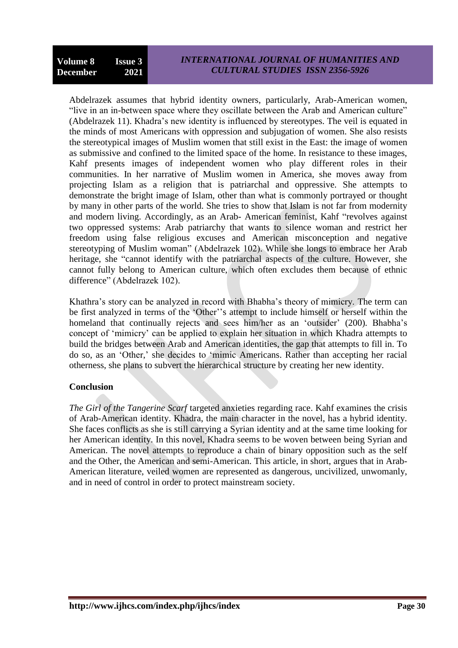Abdelrazek assumes that hybrid identity owners, particularly, Arab-American women, "live in an in-between space where they oscillate between the Arab and American culture" (Abdelrazek 11). Khadra"s new identity is influenced by stereotypes. The veil is equated in the minds of most Americans with oppression and subjugation of women. She also resists the stereotypical images of Muslim women that still exist in the East: the image of women as submissive and confined to the limited space of the home. In resistance to these images, Kahf presents images of independent women who play different roles in their communities. In her narrative of Muslim women in America, she moves away from projecting Islam as a religion that is patriarchal and oppressive. She attempts to demonstrate the bright image of Islam, other than what is commonly portrayed or thought by many in other parts of the world. She tries to show that Islam is not far from modernity and modern living. Accordingly, as an Arab- American feminist, Kahf "revolves against two oppressed systems: Arab patriarchy that wants to silence woman and restrict her freedom using false religious excuses and American misconception and negative stereotyping of Muslim woman" (Abdelrazek 102). While she longs to embrace her Arab heritage, she "cannot identify with the patriarchal aspects of the culture. However, she cannot fully belong to American culture, which often excludes them because of ethnic difference" (Abdelrazek 102).

Khathra"s story can be analyzed in record with Bhabha"s theory of mimicry. The term can be first analyzed in terms of the 'Other''s attempt to include himself or herself within the homeland that continually rejects and sees him/her as an 'outsider' (200). Bhabha's concept of "mimicry" can be applied to explain her situation in which Khadra attempts to build the bridges between Arab and American identities, the gap that attempts to fill in. To do so, as an "Other," she decides to "mimic Americans. Rather than accepting her racial otherness, she plans to subvert the hierarchical structure by creating her new identity.

### **Conclusion**

*The Girl of the Tangerine Scarf* targeted anxieties regarding race. Kahf examines the crisis of Arab-American identity. Khadra, the main character in the novel, has a hybrid identity. She faces conflicts as she is still carrying a Syrian identity and at the same time looking for her American identity. In this novel, Khadra seems to be woven between being Syrian and American. The novel attempts to reproduce a chain of binary opposition such as the self and the Other, the American and semi-American. This article, in short, argues that in Arab-American literature, veiled women are represented as dangerous, uncivilized, unwomanly, and in need of control in order to protect mainstream society.